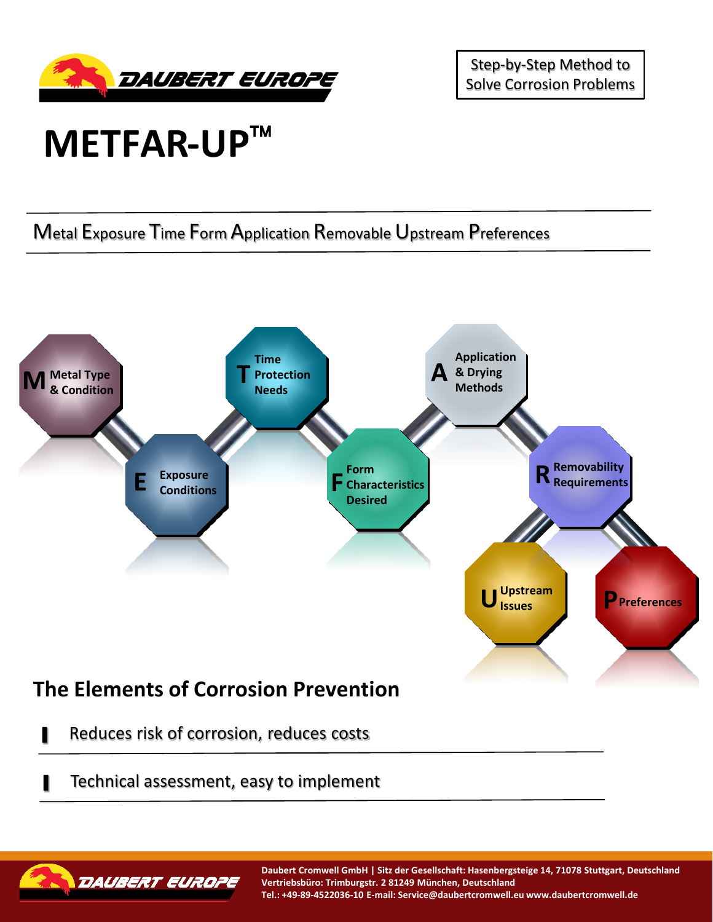

Step-by-Step Method to Solve Corrosion Problems

## **METFAR-UP**

Metal Exposure Time Form Application Removable Upstream Preferences



- Reduces risk of corrosion, reduces costs
- Technical assessment, easy to implement



**Daubert Cromwell GmbH | Sitz der Gesellschaft: Hasenbergsteige 14, 71078 Stuttgart, Deutschland Vertriebsbüro: Trimburgstr. 2 81249 München, Deutschland Tel.: +49-89-4522036-10 E-mail: Service@daubertcromwell.eu www.daubertcromwell.de**